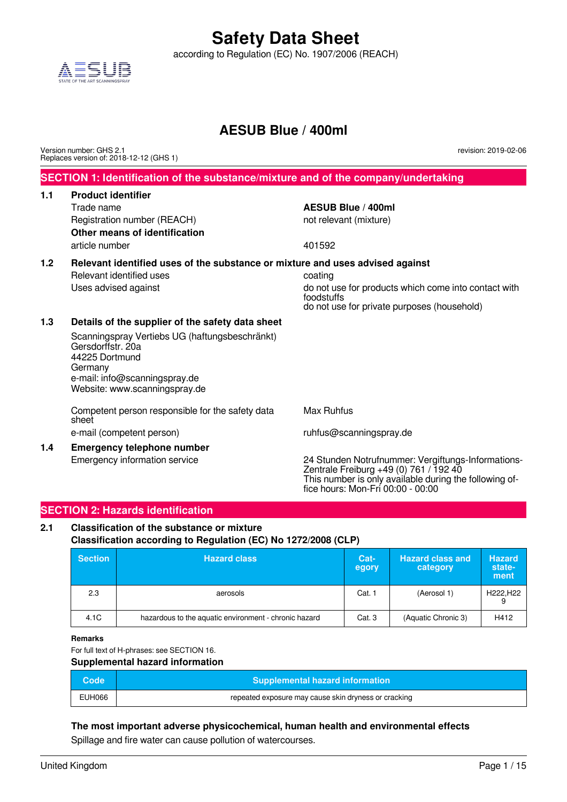according to Regulation (EC) No. 1907/2006 (REACH)



### **AESUB Blue / 400ml**

Version number: GHS 2.1 Replaces version of: 2018-12-12 (GHS 1) revision: 2019-02-06

#### **SECTION 1: Identification of the substance/mixture and of the company/undertaking**

#### **1.1 Product identifier**

Trade name **AESUB Blue / 400ml** Registration number (REACH) not relevant (mixture) **Other means of identification** article number 401592

### **1.2 Relevant identified uses of the substance or mixture and uses advised against**

Relevant identified uses example and the coating coating

Uses advised against do not use for products which come into contact with foodstuffs do not use for private purposes (household)

#### **1.3 Details of the supplier of the safety data sheet**

Scanningspray Vertiebs UG (haftungsbeschränkt) Gersdorffstr. 20a 44225 Dortmund Germany e-mail: info@scanningspray.de Website: www.scanningspray.de

Competent person responsible for the safety data sheet

**1.4 Emergency telephone number**

Max Ruhfus

e-mail (competent person) e-mail (competent person)

Emergency information service 24 Stunden Notrufnummer: Vergiftungs-Informations-Zentrale Freiburg +49 (0) 761 / 192 40 This number is only available during the following office hours: Mon-Fri 00:00 - 00:00

#### **SECTION 2: Hazards identification**

#### **2.1 Classification of the substance or mixture Classification according to Regulation (EC) No 1272/2008 (CLP)**

| <b>Section</b> | <b>Hazard class</b>                                   | Cat-<br>egory | <b>Hazard class and</b><br>category | <b>Hazard</b><br>state-<br>ment |
|----------------|-------------------------------------------------------|---------------|-------------------------------------|---------------------------------|
| 2.3            | aerosols                                              | Cat. 1        | (Aerosol 1)                         | H222.H22                        |
| 4.1C           | hazardous to the aquatic environment - chronic hazard | Cat. 3        | (Aquatic Chronic 3)                 | H412                            |

**Remarks**

For full text of H-phrases: see SECTION 16.

**Supplemental hazard information**

| Code <sup>1</sup> | <b>Supplemental hazard information</b>               |
|-------------------|------------------------------------------------------|
| EUH066            | repeated exposure may cause skin dryness or cracking |

**The most important adverse physicochemical, human health and environmental effects** Spillage and fire water can cause pollution of watercourses.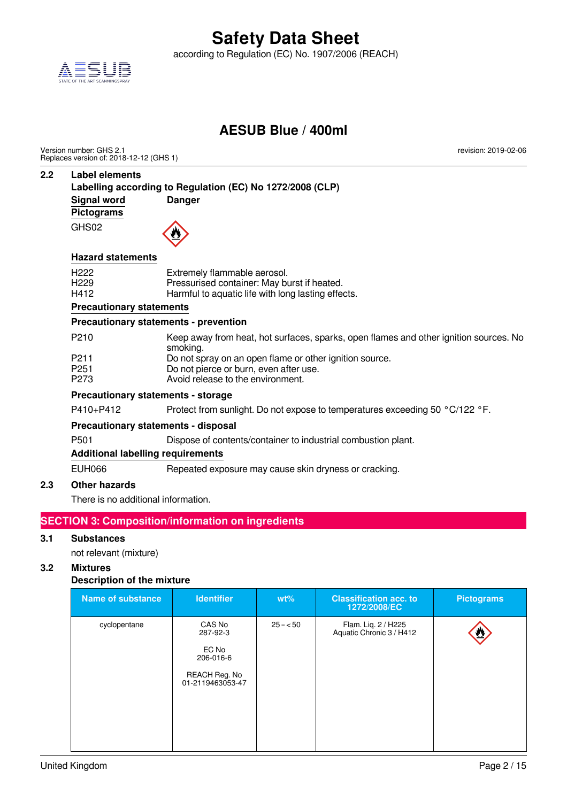

according to Regulation (EC) No. 1907/2006 (REACH)

### **AESUB Blue / 400ml**

Version number: GHS 2.1 Replaces version of: 2018-12-12 (GHS 1) revision: 2019-02-06

#### **2.2 Label elements**

**Labelling according to Regulation (EC) No 1272/2008 (CLP) Signal word Danger Pictograms** GHS02

#### **Hazard statements**

| H <sub>222</sub> | Extremely flammable aerosol.                       |
|------------------|----------------------------------------------------|
| H <sub>229</sub> | Pressurised container: May burst if heated.        |
| H412             | Harmful to aquatic life with long lasting effects. |

#### **Precautionary statements**

#### **Precautionary statements - prevention**

| <b>Drocautionary statements - storage</b> |                                                                                                   |  |  |  |  |
|-------------------------------------------|---------------------------------------------------------------------------------------------------|--|--|--|--|
| P <sub>273</sub>                          | Avoid release to the environment.                                                                 |  |  |  |  |
| P <sub>251</sub>                          | Do not pierce or burn, even after use.                                                            |  |  |  |  |
| P <sub>211</sub>                          | Do not spray on an open flame or other ignition source.                                           |  |  |  |  |
| P <sub>210</sub>                          | Keep away from heat, hot surfaces, sparks, open flames and other ignition sources. No<br>smoking. |  |  |  |  |
|                                           |                                                                                                   |  |  |  |  |

### **Precautionary statements - storage**

P410+P412 Protect from sunlight. Do not expose to temperatures exceeding 50 °C/122 °F.

### **Precautionary statements - disposal**

P501 Dispose of contents/container to industrial combustion plant.

#### **Additional labelling requirements**

EUH066 Repeated exposure may cause skin dryness or cracking.

#### **2.3 Other hazards**

There is no additional information.

### **SECTION 3: Composition/information on ingredients**

#### **3.1 Substances**

not relevant (mixture)

#### **3.2 Mixtures**

#### **Description of the mixture**

| <b>Name of substance</b> | <b>Identifier</b>                                                             | $wt\%$    | <b>Classification acc. to</b><br>1272/2008/EC   | <b>Pictograms</b> |
|--------------------------|-------------------------------------------------------------------------------|-----------|-------------------------------------------------|-------------------|
| cyclopentane             | CAS No<br>287-92-3<br>EC No<br>206-016-6<br>REACH Reg. No<br>01-2119463053-47 | $25 - 50$ | Flam. Liq. 2 / H225<br>Aquatic Chronic 3 / H412 |                   |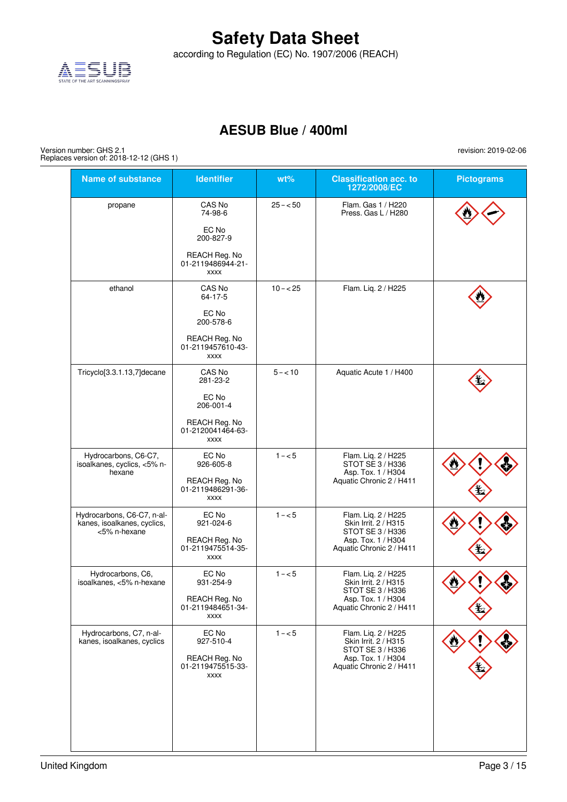according to Regulation (EC) No. 1907/2006 (REACH)



### **AESUB Blue / 400ml**

Version number: GHS 2.1 Replaces version of: 2018-12-12 (GHS 1)

> **Name of substance Identifier wt% Classification acc. to 1272/2008/EC Pictograms** propane CAS No 74-98-6 EC No 200-827-9 REACH Reg. No 01-2119486944-21 xxxx 25 – < 50 Flam. Gas 1 / H220 Press. Gas L / H280 ethanol **CAS No** 64-17-5 EC No 200-578-6 REACH Reg. No 01-2119457610-43 xxxx 10 – < 25 Flam. Liq. 2 / H225 Tricyclo[3.3.1.13,7]decane CAS No 281-23-2 EC No 206-001-4 REACH Reg. No 01-2120041464-63 xxxx 5 – < 10 Aquatic Acute 1 / H400 Hydrocarbons, C6-C7, isoalkanes, cyclics, <5% nhexane EC No 926-605-8 REACH Reg. No 01-2119486291-36 xxxx 1 – < 5 Flam. Liq. 2 / H225 STOT SE 3 / H336 Asp. Tox. 1 / H304 Aquatic Chronic 2 / H411 Hydrocarbons, C6-C7, n-alkanes, isoalkanes, cyclics, <5% n-hexane EC No 921-024-6 REACH Reg. No 01-2119475514-35 xxxx 1 – < 5 Flam. Liq. 2 / H225 Skin Irrit. 2 / H315 STOT SE 3 / H336 Asp. Tox. 1 / H304 Aquatic Chronic 2 / H411 Hydrocarbons, C6, isoalkanes, <5% n-hexane EC No 931-254-9 REACH Reg. No 01-2119484651-34 xxxx 1 – < 5 Flam. Liq. 2 / H225 Skin Irrit. 2 / H315 STOT SE 3 / H336 Asp. Tox. 1 / H304 Aquatic Chronic 2 / H411 Hydrocarbons, C7, n-alkanes, isoalkanes, cyclics EC No 927-510-4 REACH Reg. No 01-2119475515-33 xxxx 1 – < 5 Flam. Liq. 2 / H225 Skin Irrit. 2 / H315 STOT SE 3 / H336 Asp. Tox. 1 / H304 Aquatic Chronic 2 / H411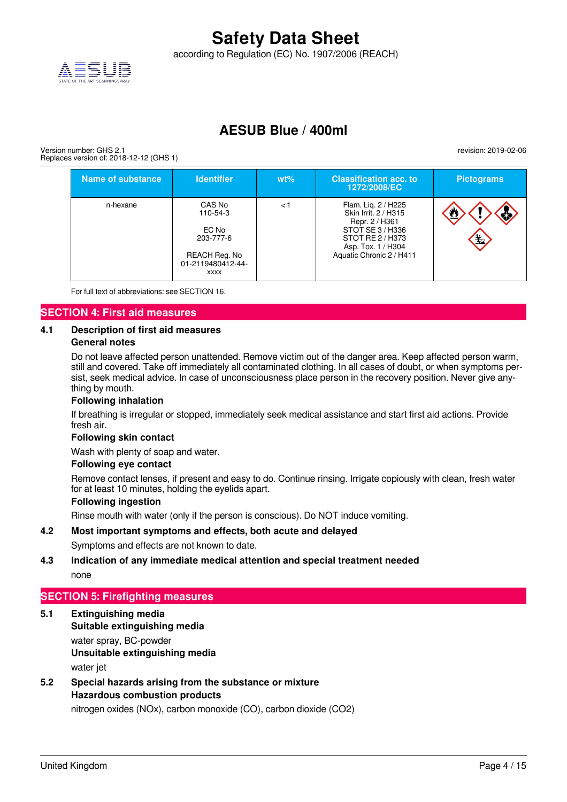according to Regulation (EC) No. 1907/2006 (REACH)



### **AESUB Blue / 400ml**

Version number: GHS 2.1 Replaces version of: 2018-12-12 (GHS 1)

| <b>Name of substance</b> | <b>Identifier</b>                                                                             | $wt\%$ | <b>Classification acc. to.</b><br>1272/2008/EC                                                                                                          | <b>Pictograms</b> |
|--------------------------|-----------------------------------------------------------------------------------------------|--------|---------------------------------------------------------------------------------------------------------------------------------------------------------|-------------------|
| n-hexane                 | CAS No<br>110-54-3<br>EC No<br>203-777-6<br>REACH Reg. No<br>01-2119480412-44-<br><b>XXXX</b> | < 1    | Flam. Lig. 2 / H225<br>Skin Irrit. 2 / H315<br>Repr. 2 / H361<br>STOT SE 3 / H336<br>STOT RE 2 / H373<br>Asp. Tox. 1 / H304<br>Aquatic Chronic 2 / H411 | ক∕<br>ゼ           |

For full text of abbreviations: see SECTION 16.

#### **SECTION 4: First aid measures**

### **4.1 Description of first aid measures**

#### **General notes**

Do not leave affected person unattended. Remove victim out of the danger area. Keep affected person warm, still and covered. Take off immediately all contaminated clothing. In all cases of doubt, or when symptoms persist, seek medical advice. In case of unconsciousness place person in the recovery position. Never give anything by mouth.

#### **Following inhalation**

If breathing is irregular or stopped, immediately seek medical assistance and start first aid actions. Provide fresh air.

#### **Following skin contact**

Wash with plenty of soap and water.

#### **Following eye contact**

Remove contact lenses, if present and easy to do. Continue rinsing. Irrigate copiously with clean, fresh water for at least 10 minutes, holding the eyelids apart.

#### **Following ingestion**

Rinse mouth with water (only if the person is conscious). Do NOT induce vomiting.

#### **4.2 Most important symptoms and effects, both acute and delayed**

Symptoms and effects are not known to date.

#### **4.3 Indication of any immediate medical attention and special treatment needed** none

#### **SECTION 5: Firefighting measures**

- **5.1 Extinguishing media Suitable extinguishing media** water spray, BC-powder **Unsuitable extinguishing media** water jet
- **5.2 Special hazards arising from the substance or mixture Hazardous combustion products**

nitrogen oxides (NOx), carbon monoxide (CO), carbon dioxide (CO2)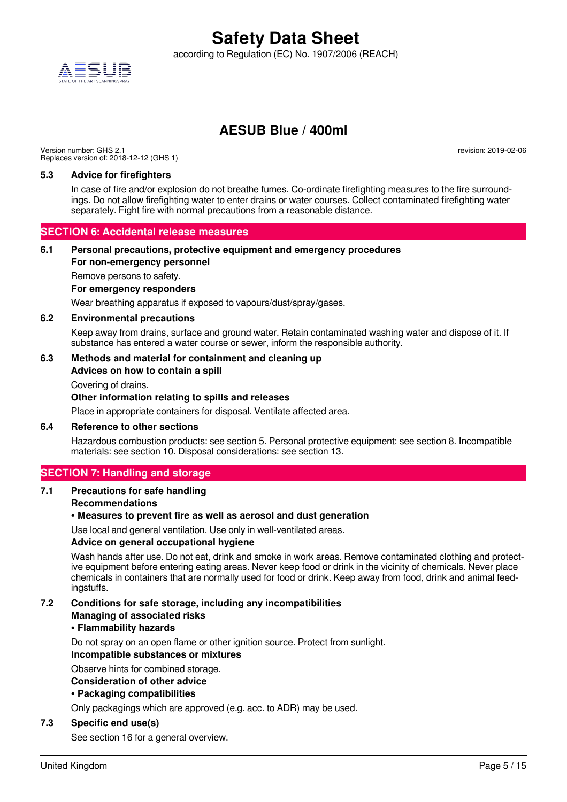

according to Regulation (EC) No. 1907/2006 (REACH)

### **AESUB Blue / 400ml**

Version number: GHS 2.1 Replaces version of: 2018-12-12 (GHS 1)

revision: 2019-02-06

#### **5.3 Advice for firefighters**

In case of fire and/or explosion do not breathe fumes. Co-ordinate firefighting measures to the fire surroundings. Do not allow firefighting water to enter drains or water courses. Collect contaminated firefighting water separately. Fight fire with normal precautions from a reasonable distance.

#### **SECTION 6: Accidental release measures**

### **6.1 Personal precautions, protective equipment and emergency procedures**

**For non-emergency personnel**

Remove persons to safety.

#### **For emergency responders**

Wear breathing apparatus if exposed to vapours/dust/spray/gases.

#### **6.2 Environmental precautions**

Keep away from drains, surface and ground water. Retain contaminated washing water and dispose of it. If substance has entered a water course or sewer, inform the responsible authority.

#### **6.3 Methods and material for containment and cleaning up**

#### **Advices on how to contain a spill**

Covering of drains.

#### **Other information relating to spills and releases**

Place in appropriate containers for disposal. Ventilate affected area.

#### **6.4 Reference to other sections**

Hazardous combustion products: see section 5. Personal protective equipment: see section 8. Incompatible materials: see section 10. Disposal considerations: see section 13.

#### **SECTION 7: Handling and storage**

#### **7.1 Precautions for safe handling**

#### **Recommendations**

#### **• Measures to prevent fire as well as aerosol and dust generation**

Use local and general ventilation. Use only in well-ventilated areas.

#### **Advice on general occupational hygiene**

Wash hands after use. Do not eat, drink and smoke in work areas. Remove contaminated clothing and protective equipment before entering eating areas. Never keep food or drink in the vicinity of chemicals. Never place chemicals in containers that are normally used for food or drink. Keep away from food, drink and animal feedingstuffs.

#### **7.2 Conditions for safe storage, including any incompatibilities Managing of associated risks**

#### **• Flammability hazards**

Do not spray on an open flame or other ignition source. Protect from sunlight.

#### **Incompatible substances or mixtures**

Observe hints for combined storage.

#### **Consideration of other advice**

#### **• Packaging compatibilities**

Only packagings which are approved (e.g. acc. to ADR) may be used.

#### **7.3 Specific end use(s)**

See section 16 for a general overview.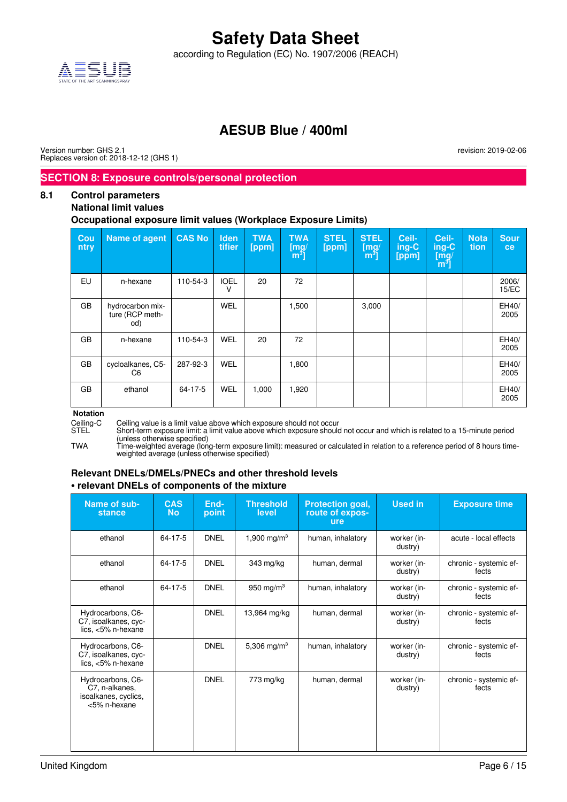according to Regulation (EC) No. 1907/2006 (REACH)



### **AESUB Blue / 400ml**

Version number: GHS 2.1 Replaces version of: 2018-12-12 (GHS 1) revision: 2019-02-06

### **SECTION 8: Exposure controls/personal protection**

#### **8.1 Control parameters**

#### **National limit values**

#### **Occupational exposure limit values (Workplace Exposure Limits)**

| Cou<br>ntry | <b>Name of agent</b>                       | <b>CAS No</b> | <b>Iden</b><br>tifier | <b>TWA</b><br>[ppm] | <b>TWA</b><br>[mg]<br>$\mathsf{[m^3]}$ | <b>STEL</b><br>[ppm] | <b>STEL</b><br>[mg]<br>m <sup>3</sup> | Ceil-<br>ing-C<br>[ppm] | Ceil-<br>ing-C<br>[mg]<br>m <sup>3</sup> | <b>Nota</b><br>tion | <b>Sour</b><br>ce |
|-------------|--------------------------------------------|---------------|-----------------------|---------------------|----------------------------------------|----------------------|---------------------------------------|-------------------------|------------------------------------------|---------------------|-------------------|
| EU          | n-hexane                                   | 110-54-3      | <b>IOEL</b><br>٧      | 20                  | 72                                     |                      |                                       |                         |                                          |                     | 2006/<br>15/EC    |
| <b>GB</b>   | hydrocarbon mix-<br>ture (RCP meth-<br>od) |               | WEL                   |                     | 1,500                                  |                      | 3,000                                 |                         |                                          |                     | EH40/<br>2005     |
| GB          | n-hexane                                   | 110-54-3      | <b>WEL</b>            | 20                  | 72                                     |                      |                                       |                         |                                          |                     | EH40/<br>2005     |
| GB          | cycloalkanes, C5-<br>C <sub>6</sub>        | 287-92-3      | <b>WEL</b>            |                     | 1,800                                  |                      |                                       |                         |                                          |                     | EH40/<br>2005     |
| GB          | ethanol                                    | 64-17-5       | WEL                   | 1,000               | 1,920                                  |                      |                                       |                         |                                          |                     | EH40/<br>2005     |

## **Notation**<br>Ceiling-C

Ceiling-C Ceiling value is a limit value above which exposure should not occur<br>STEL Short-term exposure limit: a limit value above which exposure should

Short-term exposure limit: a limit value above which exposure should not occur and which is related to a 15-minute period (unless otherwise specified)

TWA Time-weighted average (long-term exposure limit): measured or calculated in relation to a reference period of 8 hours timeweighted average (unless otherwise specified)

#### **Relevant DNELs/DMELs/PNECs and other threshold levels • relevant DNELs of components of the mixture**

| Name of sub-<br><b>stance</b>                                               | <b>CAS</b><br><b>No</b> | End-<br>point | <b>Threshold</b><br>level | <b>Protection goal,</b><br>route of expos-<br>ure | <b>Used in</b>         | <b>Exposure time</b>            |
|-----------------------------------------------------------------------------|-------------------------|---------------|---------------------------|---------------------------------------------------|------------------------|---------------------------------|
| ethanol                                                                     | 64-17-5                 | <b>DNEL</b>   | 1,900 mg/m <sup>3</sup>   | human, inhalatory                                 | worker (in-<br>dustry) | acute - local effects           |
| ethanol                                                                     | 64-17-5                 | <b>DNEL</b>   | 343 mg/kg                 | human, dermal                                     | worker (in-<br>dustry) | chronic - systemic ef-<br>fects |
| ethanol                                                                     | 64-17-5                 | <b>DNEL</b>   | 950 mg/m $3$              | human, inhalatory                                 | worker (in-<br>dustry) | chronic - systemic ef-<br>fects |
| Hydrocarbons, C6-<br>C7, isoalkanes, cyc-<br>lics, <5% n-hexane             |                         | <b>DNEL</b>   | 13,964 mg/kg              | human, dermal                                     | worker (in-<br>dustry) | chronic - systemic ef-<br>fects |
| Hydrocarbons, C6-<br>C7, isoalkanes, cyc-<br>lics, $<5\%$ n-hexane          |                         | <b>DNEL</b>   | 5,306 mg/m <sup>3</sup>   | human, inhalatory                                 | worker (in-<br>dustry) | chronic - systemic ef-<br>fects |
| Hydrocarbons, C6-<br>C7, n-alkanes,<br>isoalkanes, cyclics,<br><5% n-hexane |                         | <b>DNEL</b>   | 773 mg/kg                 | human, dermal                                     | worker (in-<br>dustry) | chronic - systemic ef-<br>fects |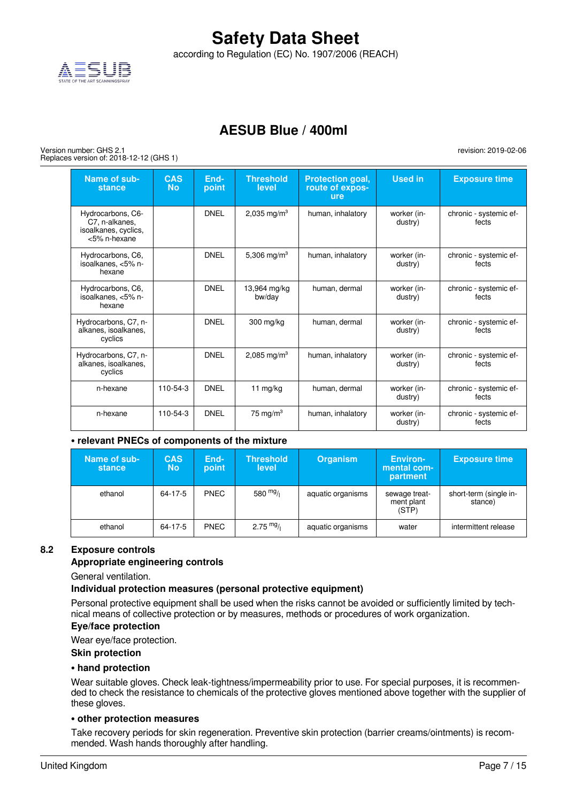according to Regulation (EC) No. 1907/2006 (REACH)



### **AESUB Blue / 400ml**

Version number: GHS 2.1 Replaces version of: 2018-12-12 (GHS 1)

| Name of sub-<br>stance                                                      | <b>CAS</b><br><b>No</b> | End-<br>point | <b>Threshold</b><br>level | Protection goal,<br>route of expos-<br>ure | <b>Used in</b>         | <b>Exposure time</b>            |
|-----------------------------------------------------------------------------|-------------------------|---------------|---------------------------|--------------------------------------------|------------------------|---------------------------------|
| Hydrocarbons, C6-<br>C7, n-alkanes,<br>isoalkanes, cyclics,<br><5% n-hexane |                         | <b>DNFI</b>   | 2,035 mg/m <sup>3</sup>   | human, inhalatory                          | worker (in-<br>dustry) | chronic - systemic ef-<br>fects |
| Hydrocarbons, C6,<br>isoalkanes, <5% n-<br>hexane                           |                         | <b>DNFI</b>   | 5,306 mg/m <sup>3</sup>   | human, inhalatory                          | worker (in-<br>dustry) | chronic - systemic ef-<br>fects |
| Hydrocarbons, C6,<br>isoalkanes. <5% n-<br>hexane                           |                         | <b>DNEL</b>   | 13,964 mg/kg<br>bw/day    | human, dermal                              | worker (in-<br>dustry) | chronic - systemic ef-<br>fects |
| Hydrocarbons, C7, n-<br>alkanes, isoalkanes,<br>cyclics                     |                         | <b>DNFI</b>   | 300 mg/kg                 | human, dermal                              | worker (in-<br>dustry) | chronic - systemic ef-<br>fects |
| Hydrocarbons, C7, n-<br>alkanes, isoalkanes,<br>cyclics                     |                         | <b>DNFI</b>   | 2,085 mg/m <sup>3</sup>   | human, inhalatory                          | worker (in-<br>dustry) | chronic - systemic ef-<br>fects |
| n-hexane                                                                    | 110-54-3                | <b>DNEL</b>   | 11 mg/kg                  | human, dermal                              | worker (in-<br>dustry) | chronic - systemic ef-<br>fects |
| n-hexane                                                                    | 110-54-3                | <b>DNEL</b>   | 75 mg/m <sup>3</sup>      | human, inhalatory                          | worker (in-<br>dustry) | chronic - systemic ef-<br>fects |

#### **• relevant PNECs of components of the mixture**

| Name of sub-<br>stance | <b>CAS</b><br><b>No</b> | End-<br>point | <b>Threshold</b><br>level | <b>Organism</b>   | <b>Environ-</b><br>mental com-<br>partment | <b>Exposure time</b>              |
|------------------------|-------------------------|---------------|---------------------------|-------------------|--------------------------------------------|-----------------------------------|
| ethanol                | 64-17-5                 | <b>PNEC</b>   | 580 $mg/1$                | aquatic organisms | sewage treat-<br>ment plant<br>(STP)       | short-term (single in-<br>stance) |
| ethanol                | 64-17-5                 | <b>PNEC</b>   | $2.75 \frac{mg}{l}$       | aquatic organisms | water                                      | intermittent release              |

#### **8.2 Exposure controls**

#### **Appropriate engineering controls**

General ventilation.

#### **Individual protection measures (personal protective equipment)**

Personal protective equipment shall be used when the risks cannot be avoided or sufficiently limited by technical means of collective protection or by measures, methods or procedures of work organization.

#### **Eye/face protection**

Wear eye/face protection.

#### **Skin protection**

#### **• hand protection**

Wear suitable gloves. Check leak-tightness/impermeability prior to use. For special purposes, it is recommended to check the resistance to chemicals of the protective gloves mentioned above together with the supplier of these gloves.

#### **• other protection measures**

Take recovery periods for skin regeneration. Preventive skin protection (barrier creams/ointments) is recommended. Wash hands thoroughly after handling.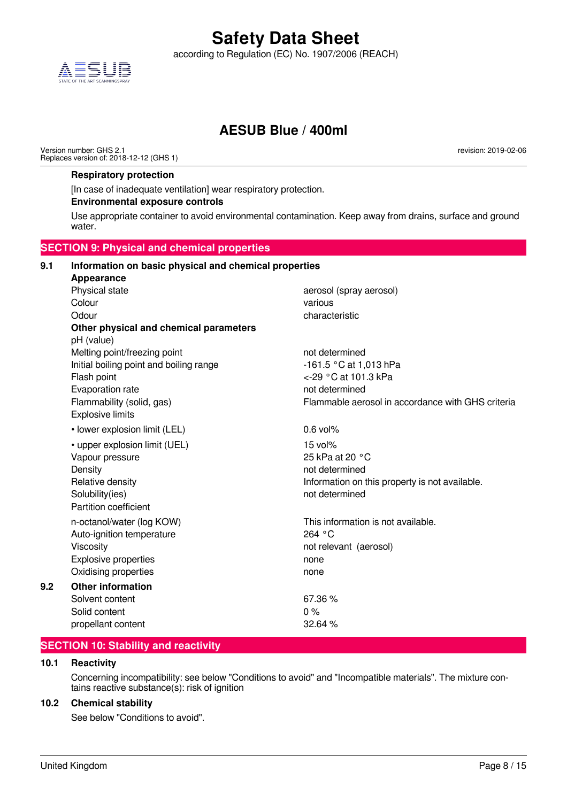

according to Regulation (EC) No. 1907/2006 (REACH)



### **AESUB Blue / 400ml**

Version number: GHS 2.1 Replaces version of: 2018-12-12 (GHS 1) revision: 2019-02-06

#### **Respiratory protection**

[In case of inadequate ventilation] wear respiratory protection.

#### **Environmental exposure controls**

Use appropriate container to avoid environmental contamination. Keep away from drains, surface and ground water.

#### **SECTION 9: Physical and chemical properties 9.1 Information on basic physical and chemical properties Appearance** Physical state and according the aerosol (spray aerosol) Colour various contracts and the colour various various Odour characteristic characteristic characteristic **Other physical and chemical parameters** pH (value) Melting point/freezing point not determined Initial boiling point and boiling range -161.5 °C at 1,013 hPa Flash point  $\leq$ -29 °C at 101.3 kPa Evaporation rate not determined Flammability (solid, gas) Flammable aerosol in accordance with GHS criteria Explosive limits • lower explosion limit (LEL) 0.6 vol% • upper explosion limit (UEL) 15 vol% Vapour pressure 25 kPa at 20 °C Density **Density Density not determined** Relative density **Information** on this property is not available. Solubility(ies) and the solubility(ies) and the solubility(ies) and the solubility(ies) and the solubility(ies Partition coefficient n-octanol/water (log KOW) This information is not available. Auto-ignition temperature 264 °C Viscosity not relevant (aerosol) Explosive properties none Oxidising properties none **9.2 Other information** Solvent content 67.36 % Solid content 0 % propellant content 32.64 %

#### **SECTION 10: Stability and reactivity**

#### **10.1 Reactivity**

Concerning incompatibility: see below "Conditions to avoid" and "Incompatible materials". The mixture contains reactive substance(s): risk of ignition

#### **10.2 Chemical stability**

See below "Conditions to avoid".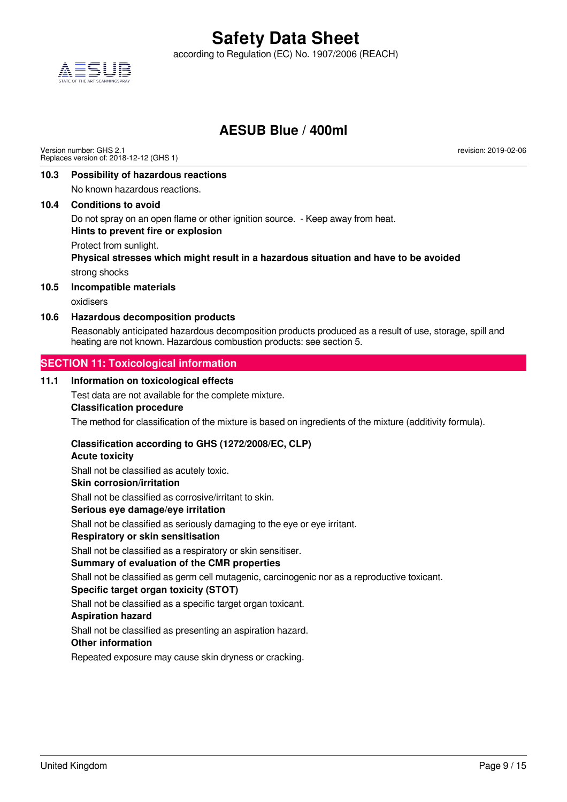according to Regulation (EC) No. 1907/2006 (REACH)



### **AESUB Blue / 400ml**

Version number: GHS 2.1 Replaces version of: 2018-12-12 (GHS 1) revision: 2019-02-06

#### **10.3 Possibility of hazardous reactions**

No known hazardous reactions.

#### **10.4 Conditions to avoid**

Do not spray on an open flame or other ignition source. - Keep away from heat.

#### **Hints to prevent fire or explosion**

Protect from sunlight.

**Physical stresses which might result in a hazardous situation and have to be avoided** strong shocks

#### **10.5 Incompatible materials**

oxidisers

#### **10.6 Hazardous decomposition products**

Reasonably anticipated hazardous decomposition products produced as a result of use, storage, spill and heating are not known. Hazardous combustion products: see section 5.

#### **SECTION 11: Toxicological information**

#### **11.1 Information on toxicological effects**

Test data are not available for the complete mixture.

#### **Classification procedure**

The method for classification of the mixture is based on ingredients of the mixture (additivity formula).

#### **Classification according to GHS (1272/2008/EC, CLP)**

#### **Acute toxicity**

Shall not be classified as acutely toxic.

#### **Skin corrosion/irritation**

Shall not be classified as corrosive/irritant to skin.

#### **Serious eye damage/eye irritation**

Shall not be classified as seriously damaging to the eye or eye irritant.

#### **Respiratory or skin sensitisation**

Shall not be classified as a respiratory or skin sensitiser.

#### **Summary of evaluation of the CMR properties**

Shall not be classified as germ cell mutagenic, carcinogenic nor as a reproductive toxicant.

#### **Specific target organ toxicity (STOT)**

Shall not be classified as a specific target organ toxicant.

#### **Aspiration hazard**

Shall not be classified as presenting an aspiration hazard.

#### **Other information**

Repeated exposure may cause skin dryness or cracking.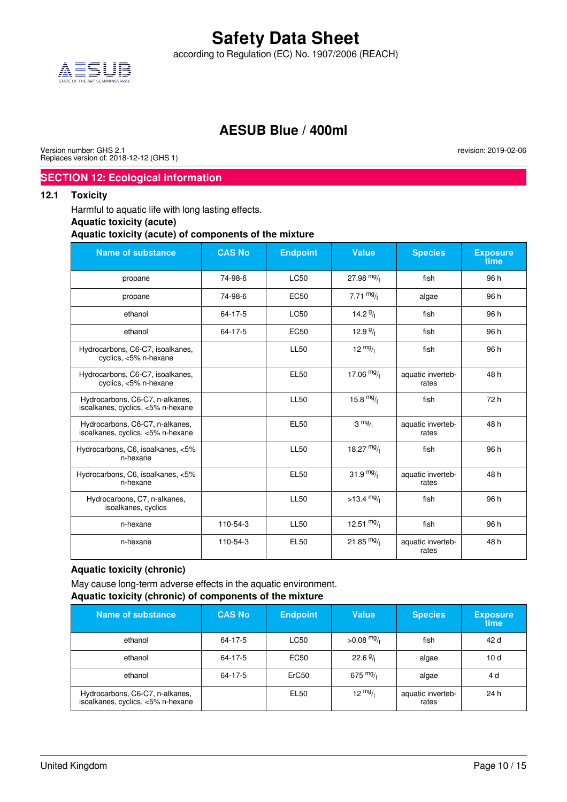according to Regulation (EC) No. 1907/2006 (REACH)



### **AESUB Blue / 400ml**

Version number: GHS 2.1 Replaces version of: 2018-12-12 (GHS 1) revision: 2019-02-06

#### **SECTION 12: Ecological information**

#### **12.1 Toxicity**

Harmful to aquatic life with long lasting effects.

#### **Aquatic toxicity (acute)**

**Aquatic toxicity (acute) of components of the mixture**

| <b>Name of substance</b>                                             | <b>CAS No</b> | <b>Endpoint</b>  | <b>Value</b>         | <b>Species</b>             | <b>Exposure</b><br>time |
|----------------------------------------------------------------------|---------------|------------------|----------------------|----------------------------|-------------------------|
| propane                                                              | 74-98-6       | <b>LC50</b>      | 27.98 $mg/$          | fish                       | 96 h                    |
| propane                                                              | 74-98-6       | EC <sub>50</sub> | 7.71 $mg/1$          | algae                      | 96 h                    |
| ethanol                                                              | 64-17-5       | LC50             | 14.2 $9/1$           | fish                       | 96 h                    |
| ethanol                                                              | 64-17-5       | <b>EC50</b>      | 12.9 $9/1$           | fish                       | 96 h                    |
| Hydrocarbons, C6-C7, isoalkanes,<br>cyclics, <5% n-hexane            |               | <b>LL50</b>      | $12 \frac{mg}{l}$    | fish                       | 96 h                    |
| Hydrocarbons, C6-C7, isoalkanes,<br>cyclics, <5% n-hexane            |               | <b>EL50</b>      | 17.06 $mg/$          | aquatic inverteb-<br>rates | 48h                     |
| Hydrocarbons, C6-C7, n-alkanes,<br>isoalkanes, cyclics, <5% n-hexane |               | <b>LL50</b>      | 15.8 $mg/$           | fish                       | 72 h                    |
| Hydrocarbons, C6-C7, n-alkanes,<br>isoalkanes, cyclics, <5% n-hexane |               | <b>EL50</b>      | $3 \frac{mg}{l}$     | aquatic inverteb-<br>rates | 48 h                    |
| Hydrocarbons, C6, isoalkanes, <5%<br>n-hexane                        |               | <b>LL50</b>      | 18.27 $mg/$          | fish                       | 96 h                    |
| Hydrocarbons, C6, isoalkanes, <5%<br>n-hexane                        |               | <b>EL50</b>      | 31.9 $mg/$           | aquatic inverteb-<br>rates | 48h                     |
| Hydrocarbons, C7, n-alkanes,<br>isoalkanes, cyclics                  |               | <b>LL50</b>      | $>13.4 \frac{mg}{l}$ | fish                       | 96 h                    |
| n-hexane                                                             | 110-54-3      | <b>LL50</b>      | 12.51 $mg/$          | fish                       | 96 h                    |
| n-hexane                                                             | 110-54-3      | <b>EL50</b>      | 21.85 $mg/$          | aquatic inverteb-<br>rates | 48h                     |

#### **Aquatic toxicity (chronic)**

May cause long-term adverse effects in the aquatic environment. **Aquatic toxicity (chronic) of components of the mixture**

| <b>Name of substance</b>                                             | <b>CAS No</b> | <b>Endpoint</b> | <b>Value</b>      | <b>Species</b>             | <b>Exposure</b><br>time |
|----------------------------------------------------------------------|---------------|-----------------|-------------------|----------------------------|-------------------------|
| ethanol                                                              | 64-17-5       | <b>LC50</b>     | $>0.08$ mg/       | fish                       | 42 d                    |
| ethanol                                                              | 64-17-5       | <b>EC50</b>     | $22.6\frac{9}{1}$ | algae                      | 10d                     |
| ethanol                                                              | 64-17-5       | ErC50           | 675 $mg/1$        | algae                      | 4 d                     |
| Hydrocarbons, C6-C7, n-alkanes,<br>isoalkanes, cyclics, <5% n-hexane |               | EL50            | $12 \frac{mg}{l}$ | aquatic inverteb-<br>rates | 24 h                    |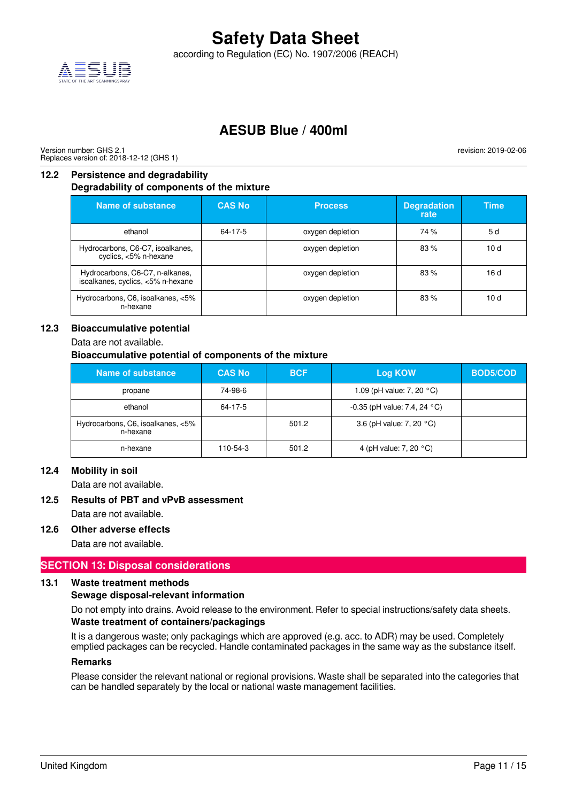according to Regulation (EC) No. 1907/2006 (REACH)



### **AESUB Blue / 400ml**

Version number: GHS 2.1 Replaces version of: 2018-12-12 (GHS 1) revision: 2019-02-06

#### **12.2 Persistence and degradability Degradability of components of the mixture**

| <b>Name of substance</b>                                             | <b>CAS No</b> | <b>Process</b>   | <b>Degradation</b><br>rate | Time |
|----------------------------------------------------------------------|---------------|------------------|----------------------------|------|
| ethanol                                                              | 64-17-5       | oxygen depletion | 74 %                       | 5 d  |
| Hydrocarbons, C6-C7, isoalkanes,<br>cyclics, <5% n-hexane            |               | oxygen depletion | 83%                        | 10d  |
| Hydrocarbons, C6-C7, n-alkanes,<br>isoalkanes, cyclics, <5% n-hexane |               | oxygen depletion | 83%                        | 16d  |
| Hydrocarbons, C6, isoalkanes, <5%<br>n-hexane                        |               | oxygen depletion | 83%                        | 10d  |

#### **12.3 Bioaccumulative potential**

Data are not available.

#### **Bioaccumulative potential of components of the mixture**

| Name of substance                             | <b>CAS No</b> | <b>BCF</b> | Log KOW                                  | <b>BOD5/COD</b> |
|-----------------------------------------------|---------------|------------|------------------------------------------|-----------------|
| propane                                       | 74-98-6       |            | 1.09 (pH value: 7, 20 $^{\circ}$ C)      |                 |
| ethanol                                       | 64-17-5       |            | $-0.35$ (pH value: 7.4, 24 $^{\circ}$ C) |                 |
| Hydrocarbons, C6, isoalkanes, <5%<br>n-hexane |               | 501.2      | 3.6 (pH value: 7, 20 $^{\circ}$ C)       |                 |
| n-hexane                                      | 110-54-3      | 501.2      | 4 (pH value: 7, 20 $^{\circ}$ C)         |                 |

#### **12.4 Mobility in soil**

Data are not available.

#### **12.5 Results of PBT and vPvB assessment**

Data are not available.

#### **12.6 Other adverse effects**

Data are not available.

#### **SECTION 13: Disposal considerations**

#### **13.1 Waste treatment methods**

#### **Sewage disposal-relevant information**

Do not empty into drains. Avoid release to the environment. Refer to special instructions/safety data sheets.

#### **Waste treatment of containers/packagings**

It is a dangerous waste; only packagings which are approved (e.g. acc. to ADR) may be used. Completely emptied packages can be recycled. Handle contaminated packages in the same way as the substance itself.

#### **Remarks**

Please consider the relevant national or regional provisions. Waste shall be separated into the categories that can be handled separately by the local or national waste management facilities.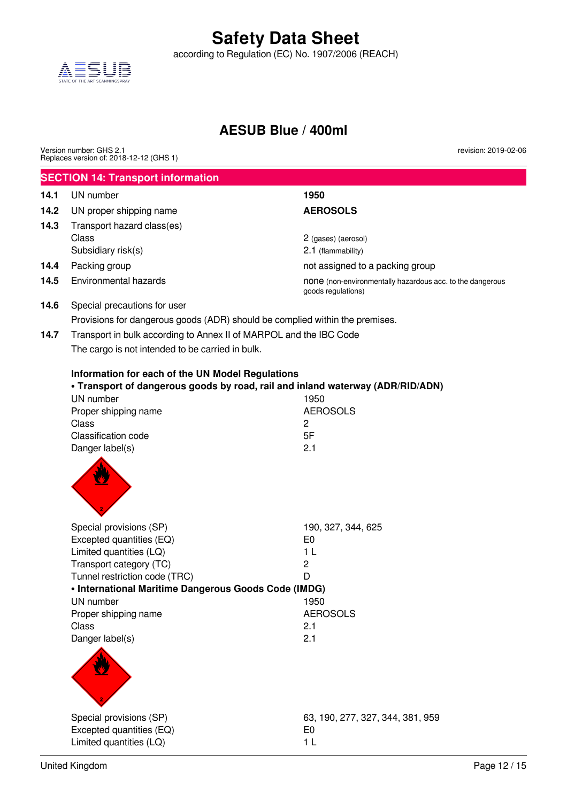according to Regulation (EC) No. 1907/2006 (REACH)



### **AESUB Blue / 400ml**

|      | Version number: GHS 2.1<br>Replaces version of: 2018-12-12 (GHS 1)           | revision: 2019-02-06                                                            |
|------|------------------------------------------------------------------------------|---------------------------------------------------------------------------------|
|      | <b>SECTION 14: Transport information</b>                                     |                                                                                 |
| 14.1 | UN number                                                                    | 1950                                                                            |
| 14.2 | UN proper shipping name                                                      | <b>AEROSOLS</b>                                                                 |
| 14.3 | Transport hazard class(es)                                                   |                                                                                 |
|      | Class                                                                        | 2 (gases) (aerosol)                                                             |
|      | Subsidiary risk(s)                                                           | 2.1 (flammability)                                                              |
| 14.4 | Packing group                                                                | not assigned to a packing group                                                 |
| 14.5 | Environmental hazards                                                        | none (non-environmentally hazardous acc. to the dangerous<br>goods regulations) |
| 14.6 | Special precautions for user                                                 |                                                                                 |
|      | Provisions for dangerous goods (ADR) should be complied within the premises. |                                                                                 |
| 14.7 | Transport in bulk according to Annex II of MARPOL and the IBC Code           |                                                                                 |
|      | The cargo is not intended to be carried in bulk.                             |                                                                                 |
|      | Information for each of the UN Model Regulations                             | . Transport of dangerous goods by road, rail and inland waterway (ADR/RID/ADN)  |
|      | UN number                                                                    | 1950                                                                            |
|      | Proper shipping name<br>Class                                                | <b>AEROSOLS</b><br>$\overline{c}$                                               |
|      | Classification code                                                          | 5F                                                                              |
|      | Danger label(s)                                                              | 2.1                                                                             |
|      |                                                                              |                                                                                 |
|      | Special provisions (SP)                                                      | 190, 327, 344, 625                                                              |
|      | Excepted quantities (EQ)                                                     | E <sub>0</sub>                                                                  |
|      | Limited quantities (LQ)                                                      | 1 <sub>L</sub>                                                                  |
|      | Transport category (TC)<br>Tunnel restriction code (TRC)                     | $\overline{c}$<br>D                                                             |
|      | • International Maritime Dangerous Goods Code (IMDG)                         |                                                                                 |
|      | UN number                                                                    | 1950                                                                            |
|      | Proper shipping name                                                         | <b>AEROSOLS</b>                                                                 |
|      | Class                                                                        | 2.1                                                                             |
|      | Danger label(s)                                                              | 2.1                                                                             |
|      |                                                                              |                                                                                 |
|      | Special provisions (SP)                                                      | 63, 190, 277, 327, 344, 381, 959                                                |
|      | Excepted quantities (EQ)                                                     | E <sub>0</sub>                                                                  |
|      | Limited quantities (LQ)                                                      | 1 <sub>L</sub>                                                                  |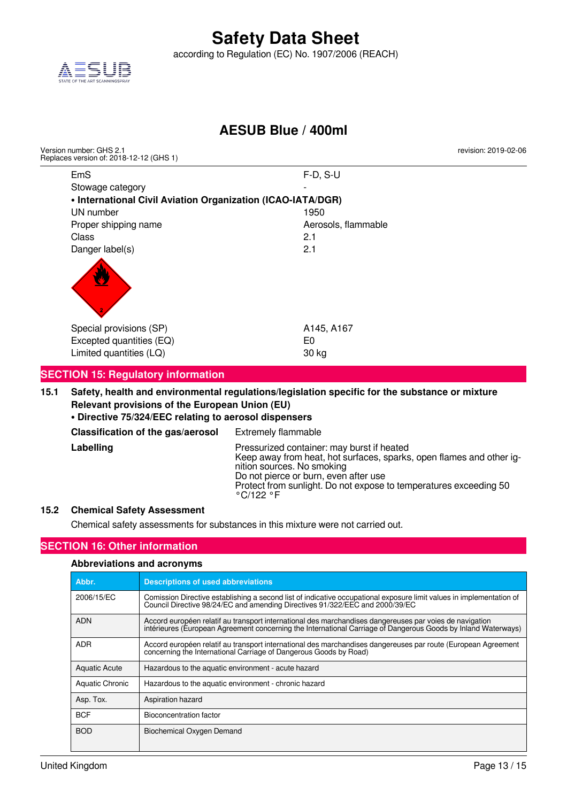

according to Regulation (EC) No. 1907/2006 (REACH)



### **AESUB Blue / 400ml**

| Version number: GHS 2.1<br>Replaces version of: 2018-12-12 (GHS 1) |                     | revision: 2019-02-06 |
|--------------------------------------------------------------------|---------------------|----------------------|
| <b>EmS</b>                                                         | $F-D, S-U$          |                      |
| Stowage category                                                   |                     |                      |
| • International Civil Aviation Organization (ICAO-IATA/DGR)        |                     |                      |
| UN number                                                          | 1950                |                      |
| Proper shipping name                                               | Aerosols, flammable |                      |
| Class                                                              | 2.1                 |                      |
| Danger label(s)                                                    | 2.1                 |                      |
| Special provisions (SP)                                            | A145, A167          |                      |
| Excepted quantities (EQ)                                           | E0                  |                      |
| Limited quantities (LQ)                                            | 30 kg               |                      |
|                                                                    |                     |                      |

#### **SECTION 15: Regulatory information**

**15.1 Safety, health and environmental regulations/legislation specific for the substance or mixture Relevant provisions of the European Union (EU)**

#### **• Directive 75/324/EEC relating to aerosol dispensers**

| Classification of the gas/aerosol | <b>Extremely flammable</b> |
|-----------------------------------|----------------------------|
|                                   |                            |

Labelling **Labelling** Pressurized container: may burst if heated Keep away from heat, hot surfaces, sparks, open flames and other ignition sources. No smoking Do not pierce or burn, even after use Protect from sunlight. Do not expose to temperatures exceeding 50 °C/122 °F

#### **15.2 Chemical Safety Assessment**

Chemical safety assessments for substances in this mixture were not carried out.

#### **SECTION 16: Other information**

| <b>Abbreviations and acronyms</b> |                                                                                                                                                                                                                          |  |
|-----------------------------------|--------------------------------------------------------------------------------------------------------------------------------------------------------------------------------------------------------------------------|--|
| Abbr.                             | <b>Descriptions of used abbreviations</b>                                                                                                                                                                                |  |
| 2006/15/EC                        | Comission Directive establishing a second list of indicative occupational exposure limit values in implementation of<br>Council Directive 98/24/EC and amending Directives 91/322/EEC and 2000/39/EC                     |  |
| <b>ADN</b>                        | Accord européen relatif au transport international des marchandises dangereuses par voies de navigation<br>intérieures (European Agreement concerning the International Carriage of Dangerous Goods by Inland Waterways) |  |
| <b>ADR</b>                        | Accord européen relatif au transport international des marchandises dangereuses par route (European Agreement<br>concerning the International Carriage of Dangerous Goods by Road)                                       |  |
| <b>Aquatic Acute</b>              | Hazardous to the aquatic environment - acute hazard                                                                                                                                                                      |  |
| Aquatic Chronic                   | Hazardous to the aquatic environment - chronic hazard                                                                                                                                                                    |  |
| Asp. Tox.                         | Aspiration hazard                                                                                                                                                                                                        |  |
| <b>BCF</b>                        | Bioconcentration factor                                                                                                                                                                                                  |  |
| <b>BOD</b>                        | Biochemical Oxygen Demand                                                                                                                                                                                                |  |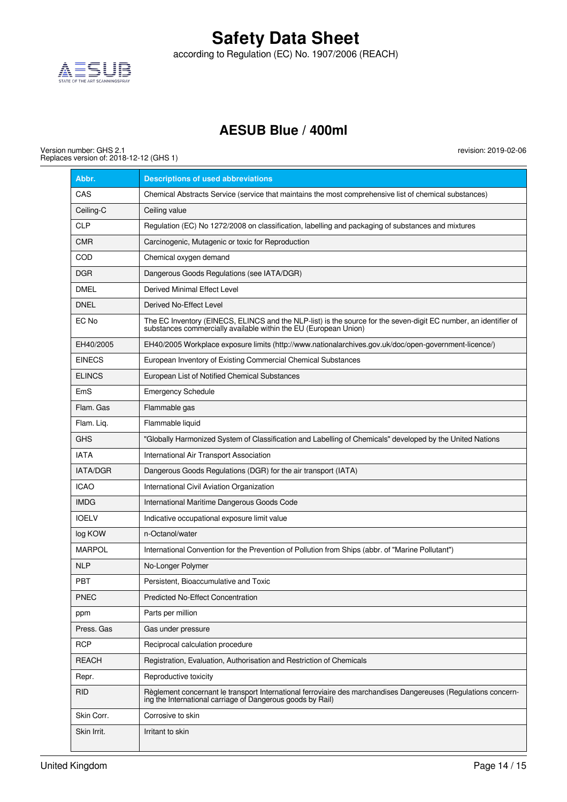

according to Regulation (EC) No. 1907/2006 (REACH)

## **AESUB Blue / 400ml**

Version number: GHS 2.1 Replaces version of: 2018-12-12 (GHS 1)

| Abbr.           | <b>Descriptions of used abbreviations</b>                                                                                                                                            |
|-----------------|--------------------------------------------------------------------------------------------------------------------------------------------------------------------------------------|
| CAS             | Chemical Abstracts Service (service that maintains the most comprehensive list of chemical substances)                                                                               |
| Ceiling-C       | Ceiling value                                                                                                                                                                        |
| <b>CLP</b>      | Regulation (EC) No 1272/2008 on classification, labelling and packaging of substances and mixtures                                                                                   |
| <b>CMR</b>      | Carcinogenic, Mutagenic or toxic for Reproduction                                                                                                                                    |
| COD             | Chemical oxygen demand                                                                                                                                                               |
| <b>DGR</b>      | Dangerous Goods Regulations (see IATA/DGR)                                                                                                                                           |
| <b>DMEL</b>     | Derived Minimal Effect Level                                                                                                                                                         |
| <b>DNEL</b>     | Derived No-Effect Level                                                                                                                                                              |
| EC No           | The EC Inventory (EINECS, ELINCS and the NLP-list) is the source for the seven-digit EC number, an identifier of<br>substances commercially available within the EU (European Union) |
| EH40/2005       | EH40/2005 Workplace exposure limits (http://www.nationalarchives.gov.uk/doc/open-government-licence/)                                                                                |
| <b>EINECS</b>   | European Inventory of Existing Commercial Chemical Substances                                                                                                                        |
| <b>ELINCS</b>   | European List of Notified Chemical Substances                                                                                                                                        |
| EmS             | <b>Emergency Schedule</b>                                                                                                                                                            |
| Flam, Gas       | Flammable gas                                                                                                                                                                        |
| Flam. Liq.      | Flammable liquid                                                                                                                                                                     |
| <b>GHS</b>      | "Globally Harmonized System of Classification and Labelling of Chemicals" developed by the United Nations                                                                            |
| <b>IATA</b>     | International Air Transport Association                                                                                                                                              |
| <b>IATA/DGR</b> | Dangerous Goods Regulations (DGR) for the air transport (IATA)                                                                                                                       |
| <b>ICAO</b>     | International Civil Aviation Organization                                                                                                                                            |
| <b>IMDG</b>     | International Maritime Dangerous Goods Code                                                                                                                                          |
| <b>IOELV</b>    | Indicative occupational exposure limit value                                                                                                                                         |
| log KOW         | n-Octanol/water                                                                                                                                                                      |
| <b>MARPOL</b>   | International Convention for the Prevention of Pollution from Ships (abbr. of "Marine Pollutant")                                                                                    |
| <b>NLP</b>      | No-Longer Polymer                                                                                                                                                                    |
| <b>PBT</b>      | Persistent, Bioaccumulative and Toxic                                                                                                                                                |
| <b>PNEC</b>     | <b>Predicted No-Effect Concentration</b>                                                                                                                                             |
| ppm             | Parts per million                                                                                                                                                                    |
| Press. Gas      | Gas under pressure                                                                                                                                                                   |
| <b>RCP</b>      | Reciprocal calculation procedure                                                                                                                                                     |
| <b>REACH</b>    | Registration, Evaluation, Authorisation and Restriction of Chemicals                                                                                                                 |
| Repr.           | Reproductive toxicity                                                                                                                                                                |
| <b>RID</b>      | Règlement concernant le transport International ferroviaire des marchandises Dangereuses (Regulations concern-<br>ing the International carriage of Dangerous goods by Rail)         |
| Skin Corr.      | Corrosive to skin                                                                                                                                                                    |
| Skin Irrit.     | Irritant to skin                                                                                                                                                                     |